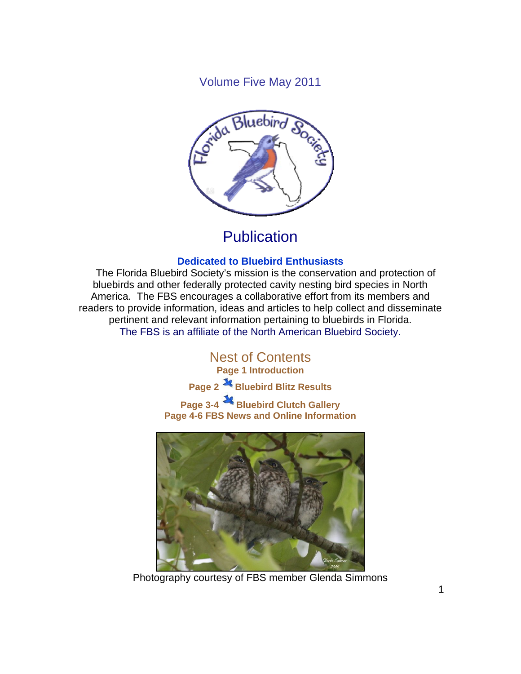Volume Five May 2011



## **Publication**

#### **Dedicated to Bluebird Enthusiasts**

 The Florida Bluebird Society's mission is the conservation and protection of bluebirds and other federally protected cavity nesting bird species in North America. The FBS encourages a collaborative effort from its members and readers to provide information, ideas and articles to help collect and disseminate pertinent and relevant information pertaining to bluebirds in Florida. The FBS is an affiliate of the North American Bluebird Society.

> Nest of Contents **Page 1 Introduction**

**Page 2 Bluebird Blitz Results** 

**Page 3-4 Bluebird Clutch Gallery Page 4-6 FBS News and Online Information** 



Photography courtesy of FBS member Glenda Simmons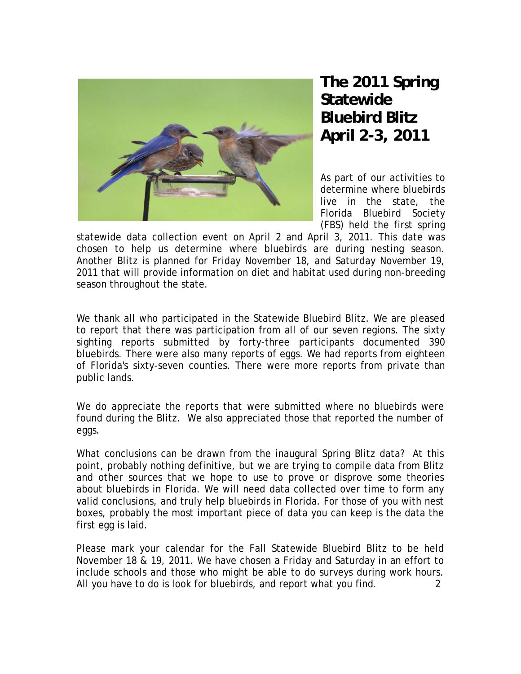

**The 2011 Spring Statewide Bluebird Blitz April 2-3, 2011** 

As part of our activities to determine where bluebirds live in the state, the Florida Bluebird Society (FBS) held the first spring

statewide data collection event on April 2 and April 3, 2011. This date was chosen to help us determine where bluebirds are during nesting season. Another Blitz is planned for Friday November 18, and Saturday November 19, 2011 that will provide information on diet and habitat used during non-breeding season throughout the state.

We thank all who participated in the Statewide Bluebird Blitz. We are pleased to report that there was participation from all of our seven regions. The sixty sighting reports submitted by forty-three participants documented 390 bluebirds. There were also many reports of eggs. We had reports from eighteen of Florida's sixty-seven counties. There were more reports from private than public lands.

We do appreciate the reports that were submitted where no bluebirds were found during the Blitz. We also appreciated those that reported the number of eggs.

What conclusions can be drawn from the inaugural Spring Blitz data? At this point, probably nothing definitive, but we are trying to compile data from Blitz and other sources that we hope to use to prove or disprove some theories about bluebirds in Florida. We will need data collected over time to form any valid conclusions, and truly help bluebirds in Florida. For those of you with nest boxes, probably the most important piece of data you can keep is the data the first egg is laid.

Please mark your calendar for the Fall Statewide Bluebird Blitz to be held November 18 & 19, 2011. We have chosen a Friday and Saturday in an effort to include schools and those who might be able to do surveys during work hours. All you have to do is look for bluebirds, and report what you find. 2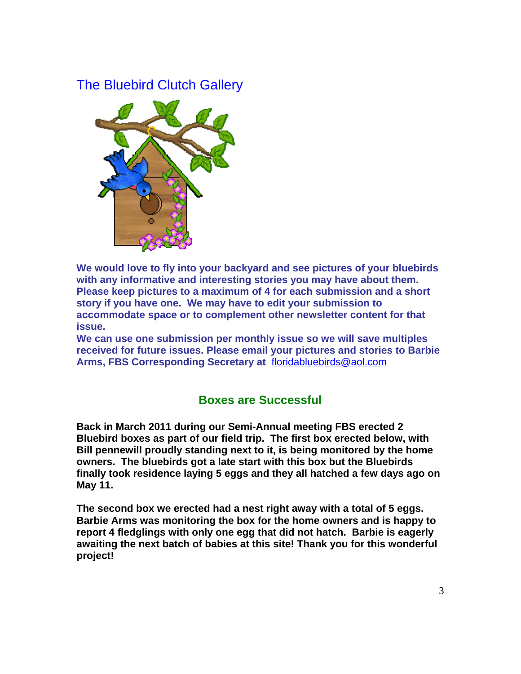## The Bluebird Clutch Gallery



**We would love to fly into your backyard and see pictures of your bluebirds with any informative and interesting stories you may have about them. Please keep pictures to a maximum of 4 for each submission and a short story if you have one. We may have to edit your submission to accommodate space or to complement other newsletter content for that issue.** 

**We can use one submission per monthly issue so we will save multiples received for future issues. Please email your pictures and stories to Barbie Arms, FBS Corresponding Secretary at** floridabluebirds@aol.com

### **Boxes are Successful**

**Back in March 2011 during our Semi-Annual meeting FBS erected 2 Bluebird boxes as part of our field trip. The first box erected below, with Bill pennewill proudly standing next to it, is being monitored by the home owners. The bluebirds got a late start with this box but the Bluebirds finally took residence laying 5 eggs and they all hatched a few days ago on May 11.** 

**The second box we erected had a nest right away with a total of 5 eggs. Barbie Arms was monitoring the box for the home owners and is happy to report 4 fledglings with only one egg that did not hatch. Barbie is eagerly awaiting the next batch of babies at this site! Thank you for this wonderful project!**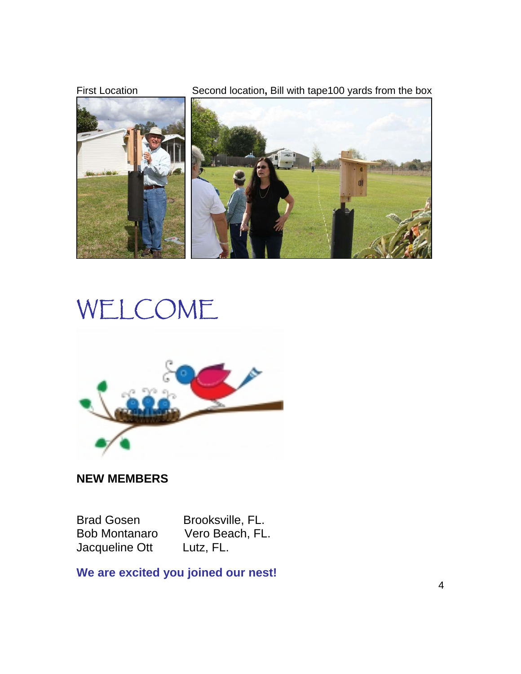

# WELCOME



## **NEW MEMBERS**

Jacqueline Ott Lutz, FL.

Brad Gosen Brooksville, FL.<br>Bob Montanaro Vero Beach, FL Vero Beach, FL.

**We are excited you joined our nest!**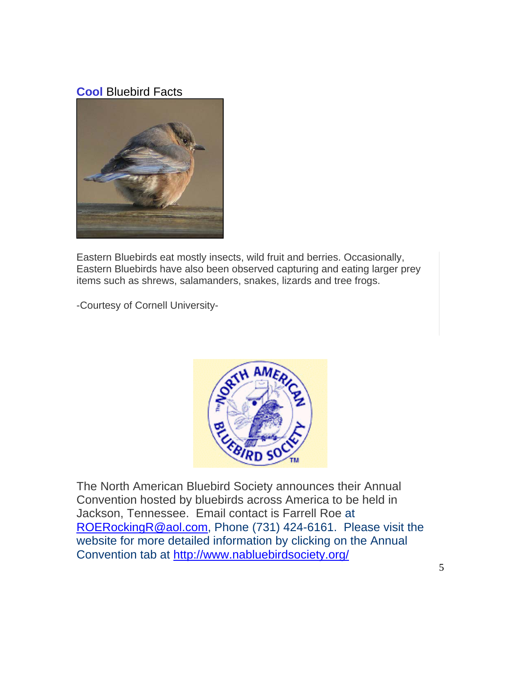## **Cool** Bluebird Facts



Eastern Bluebirds eat mostly insects, wild fruit and berries. Occasionally, Eastern Bluebirds have also been observed capturing and eating larger prey items such as shrews, salamanders, snakes, lizards and tree frogs.

-Courtesy of Cornell University-



The North American Bluebird Society announces their Annual Convention hosted by bluebirds across America to be held in Jackson, Tennessee. Email contact is Farrell Roe at ROERockingR@aol.com, Phone (731) 424-6161. Please visit the website for more detailed information by clicking on the Annual Convention tab at http://www.nabluebirdsociety.org/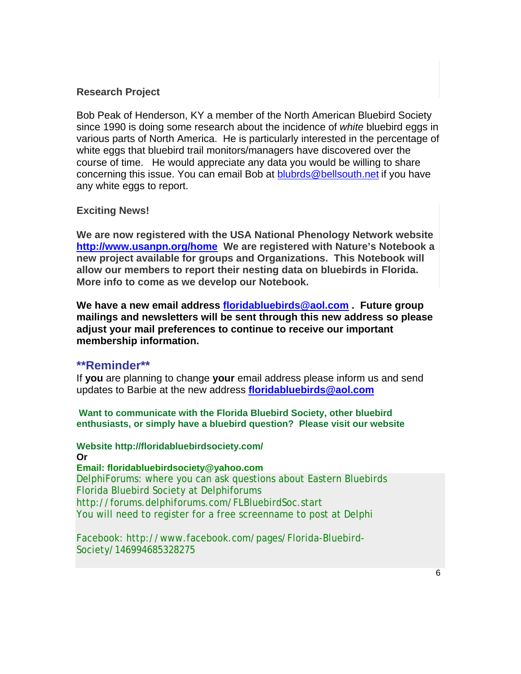#### **Research Project**

Bob Peak of Henderson, KY a member of the North American Bluebird Society since 1990 is doing some research about the incidence of *white* bluebird eggs in various parts of North America. He is particularly interested in the percentage of white eggs that bluebird trail monitors/managers have discovered over the course of time. He would appreciate any data you would be willing to share concerning this issue. You can email Bob at blubrds@bellsouth.net if you have any white eggs to report.

#### **Exciting News!**

**We are now registered with the USA National Phenology Network website http://www.usanpn.org/home We are registered with Nature's Notebook a new project available for groups and Organizations. This Notebook will allow our members to report their nesting data on bluebirds in Florida. More info to come as we develop our Notebook.** 

**We have a new email address floridabluebirds@aol.com . Future group mailings and newsletters will be sent through this new address so please adjust your mail preferences to continue to receive our important membership information.** 

#### **\*\*Reminder\*\***

If **you** are planning to change **your** email address please inform us and send updates to Barbie at the new address **floridabluebirds@aol.com**

**Want to communicate with the Florida Bluebird Society, other bluebird enthusiasts, or simply have a bluebird question? Please visit our website** 

**Website http://floridabluebirdsociety.com/ Or Email: floridabluebirdsociety@yahoo.com** 

DelphiForums: where you can ask questions about Eastern Bluebirds Florida Bluebird Society at Delphiforums http://forums.delphiforums.com/FLBluebirdSoc.start You will need to register for a free screenname to post at Delphi

Facebook: http://www.facebook.com/pages/Florida-Bluebird-Society/146994685328275